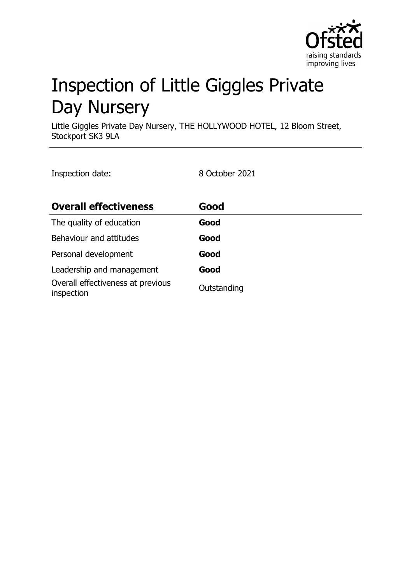

# Inspection of Little Giggles Private Day Nursery

Little Giggles Private Day Nursery, THE HOLLYWOOD HOTEL, 12 Bloom Street, Stockport SK3 9LA

Inspection date: 8 October 2021

| <b>Overall effectiveness</b>                    | Good        |
|-------------------------------------------------|-------------|
| The quality of education                        | Good        |
| Behaviour and attitudes                         | Good        |
| Personal development                            | Good        |
| Leadership and management                       | Good        |
| Overall effectiveness at previous<br>inspection | Outstanding |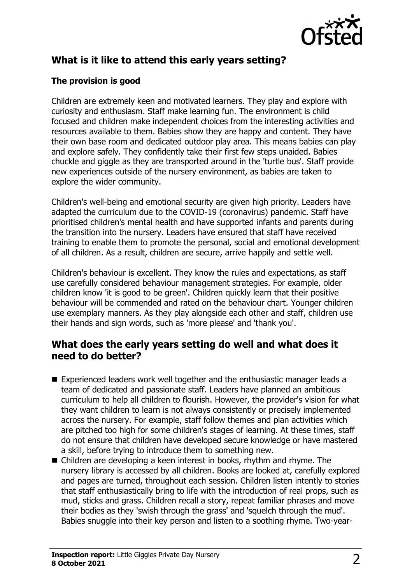

## **What is it like to attend this early years setting?**

## **The provision is good**

Children are extremely keen and motivated learners. They play and explore with curiosity and enthusiasm. Staff make learning fun. The environment is child focused and children make independent choices from the interesting activities and resources available to them. Babies show they are happy and content. They have their own base room and dedicated outdoor play area. This means babies can play and explore safely. They confidently take their first few steps unaided. Babies chuckle and giggle as they are transported around in the 'turtle bus'. Staff provide new experiences outside of the nursery environment, as babies are taken to explore the wider community.

Children's well-being and emotional security are given high priority. Leaders have adapted the curriculum due to the COVID-19 (coronavirus) pandemic. Staff have prioritised children's mental health and have supported infants and parents during the transition into the nursery. Leaders have ensured that staff have received training to enable them to promote the personal, social and emotional development of all children. As a result, children are secure, arrive happily and settle well.

Children's behaviour is excellent. They know the rules and expectations, as staff use carefully considered behaviour management strategies. For example, older children know 'it is good to be green'. Children quickly learn that their positive behaviour will be commended and rated on the behaviour chart. Younger children use exemplary manners. As they play alongside each other and staff, children use their hands and sign words, such as 'more please' and 'thank you'.

## **What does the early years setting do well and what does it need to do better?**

- Experienced leaders work well together and the enthusiastic manager leads a team of dedicated and passionate staff. Leaders have planned an ambitious curriculum to help all children to flourish. However, the provider's vision for what they want children to learn is not always consistently or precisely implemented across the nursery. For example, staff follow themes and plan activities which are pitched too high for some children's stages of learning. At these times, staff do not ensure that children have developed secure knowledge or have mastered a skill, before trying to introduce them to something new.
- Children are developing a keen interest in books, rhythm and rhyme. The nursery library is accessed by all children. Books are looked at, carefully explored and pages are turned, throughout each session. Children listen intently to stories that staff enthusiastically bring to life with the introduction of real props, such as mud, sticks and grass. Children recall a story, repeat familiar phrases and move their bodies as they 'swish through the grass' and 'squelch through the mud'. Babies snuggle into their key person and listen to a soothing rhyme. Two-year-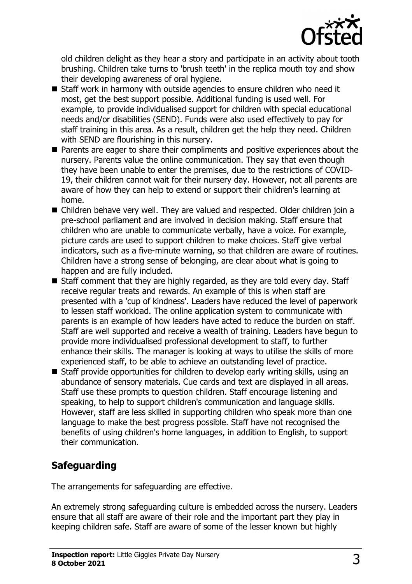

old children delight as they hear a story and participate in an activity about tooth brushing. Children take turns to 'brush teeth' in the replica mouth toy and show their developing awareness of oral hygiene.

- $\blacksquare$  Staff work in harmony with outside agencies to ensure children who need it most, get the best support possible. Additional funding is used well. For example, to provide individualised support for children with special educational needs and/or disabilities (SEND). Funds were also used effectively to pay for staff training in this area. As a result, children get the help they need. Children with SEND are flourishing in this nursery.
- $\blacksquare$  Parents are eager to share their compliments and positive experiences about the nursery. Parents value the online communication. They say that even though they have been unable to enter the premises, due to the restrictions of COVID-19, their children cannot wait for their nursery day. However, not all parents are aware of how they can help to extend or support their children's learning at home.
- Children behave very well. They are valued and respected. Older children join a pre-school parliament and are involved in decision making. Staff ensure that children who are unable to communicate verbally, have a voice. For example, picture cards are used to support children to make choices. Staff give verbal indicators, such as a five-minute warning, so that children are aware of routines. Children have a strong sense of belonging, are clear about what is going to happen and are fully included.
- $\blacksquare$  Staff comment that they are highly regarded, as they are told every day. Staff receive regular treats and rewards. An example of this is when staff are presented with a 'cup of kindness'. Leaders have reduced the level of paperwork to lessen staff workload. The online application system to communicate with parents is an example of how leaders have acted to reduce the burden on staff. Staff are well supported and receive a wealth of training. Leaders have begun to provide more individualised professional development to staff, to further enhance their skills. The manager is looking at ways to utilise the skills of more experienced staff, to be able to achieve an outstanding level of practice.
- $\blacksquare$  Staff provide opportunities for children to develop early writing skills, using an abundance of sensory materials. Cue cards and text are displayed in all areas. Staff use these prompts to question children. Staff encourage listening and speaking, to help to support children's communication and language skills. However, staff are less skilled in supporting children who speak more than one language to make the best progress possible. Staff have not recognised the benefits of using children's home languages, in addition to English, to support their communication.

## **Safeguarding**

The arrangements for safeguarding are effective.

An extremely strong safeguarding culture is embedded across the nursery. Leaders ensure that all staff are aware of their role and the important part they play in keeping children safe. Staff are aware of some of the lesser known but highly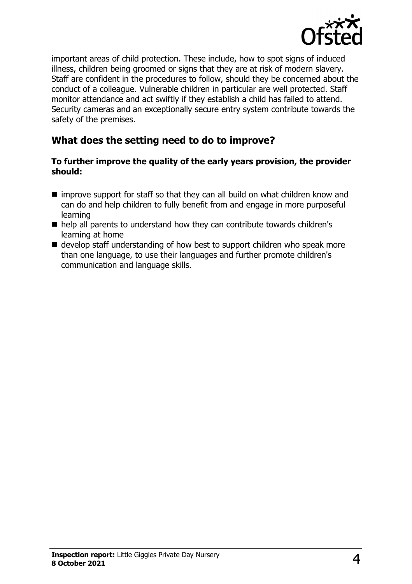

important areas of child protection. These include, how to spot signs of induced illness, children being groomed or signs that they are at risk of modern slavery. Staff are confident in the procedures to follow, should they be concerned about the conduct of a colleague. Vulnerable children in particular are well protected. Staff monitor attendance and act swiftly if they establish a child has failed to attend. Security cameras and an exceptionally secure entry system contribute towards the safety of the premises.

## **What does the setting need to do to improve?**

#### **To further improve the quality of the early years provision, the provider should:**

- $\blacksquare$  improve support for staff so that they can all build on what children know and can do and help children to fully benefit from and engage in more purposeful learning
- help all parents to understand how they can contribute towards children's learning at home
- $\blacksquare$  develop staff understanding of how best to support children who speak more than one language, to use their languages and further promote children's communication and language skills.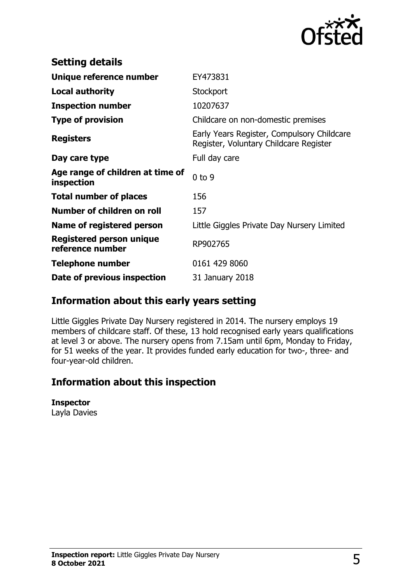

| <b>Setting details</b>                         |                                                                                      |
|------------------------------------------------|--------------------------------------------------------------------------------------|
| Unique reference number                        | EY473831                                                                             |
| Local authority                                | Stockport                                                                            |
| <b>Inspection number</b>                       | 10207637                                                                             |
| <b>Type of provision</b>                       | Childcare on non-domestic premises                                                   |
| <b>Registers</b>                               | Early Years Register, Compulsory Childcare<br>Register, Voluntary Childcare Register |
| Day care type                                  | Full day care                                                                        |
| Age range of children at time of<br>inspection | $0$ to $9$                                                                           |
| <b>Total number of places</b>                  | 156                                                                                  |
| Number of children on roll                     | 157                                                                                  |
| Name of registered person                      | Little Giggles Private Day Nursery Limited                                           |
| Registered person unique<br>reference number   | RP902765                                                                             |
| <b>Telephone number</b>                        | 0161 429 8060                                                                        |
| Date of previous inspection                    | 31 January 2018                                                                      |

# **Information about this early years setting**

Little Giggles Private Day Nursery registered in 2014. The nursery employs 19 members of childcare staff. Of these, 13 hold recognised early years qualifications at level 3 or above. The nursery opens from 7.15am until 6pm, Monday to Friday, for 51 weeks of the year. It provides funded early education for two-, three- and four-year-old children.

## **Information about this inspection**

#### **Inspector**

Layla Davies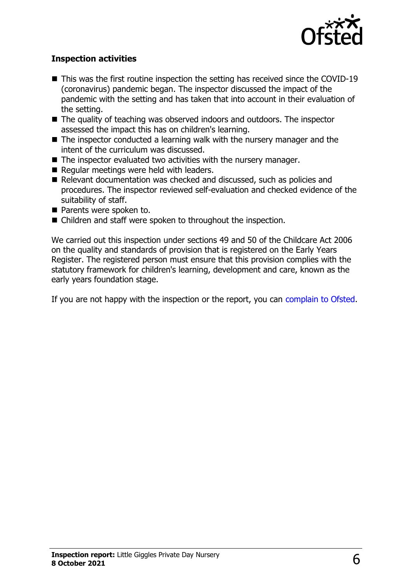

### **Inspection activities**

- $\blacksquare$  This was the first routine inspection the setting has received since the COVID-19 (coronavirus) pandemic began. The inspector discussed the impact of the pandemic with the setting and has taken that into account in their evaluation of the setting.
- $\blacksquare$  The quality of teaching was observed indoors and outdoors. The inspector assessed the impact this has on children's learning.
- $\blacksquare$  The inspector conducted a learning walk with the nursery manager and the intent of the curriculum was discussed.
- $\blacksquare$  The inspector evaluated two activities with the nursery manager.
- $\blacksquare$  Regular meetings were held with leaders.
- Relevant documentation was checked and discussed, such as policies and procedures. The inspector reviewed self-evaluation and checked evidence of the suitability of staff.
- **n** Parents were spoken to.
- Children and staff were spoken to throughout the inspection.

We carried out this inspection under sections 49 and 50 of the Childcare Act 2006 on the quality and standards of provision that is registered on the Early Years Register. The registered person must ensure that this provision complies with the statutory framework for children's learning, development and care, known as the early years foundation stage.

If you are not happy with the inspection or the report, you can [complain to Ofsted](http://www.gov.uk/complain-ofsted-report).